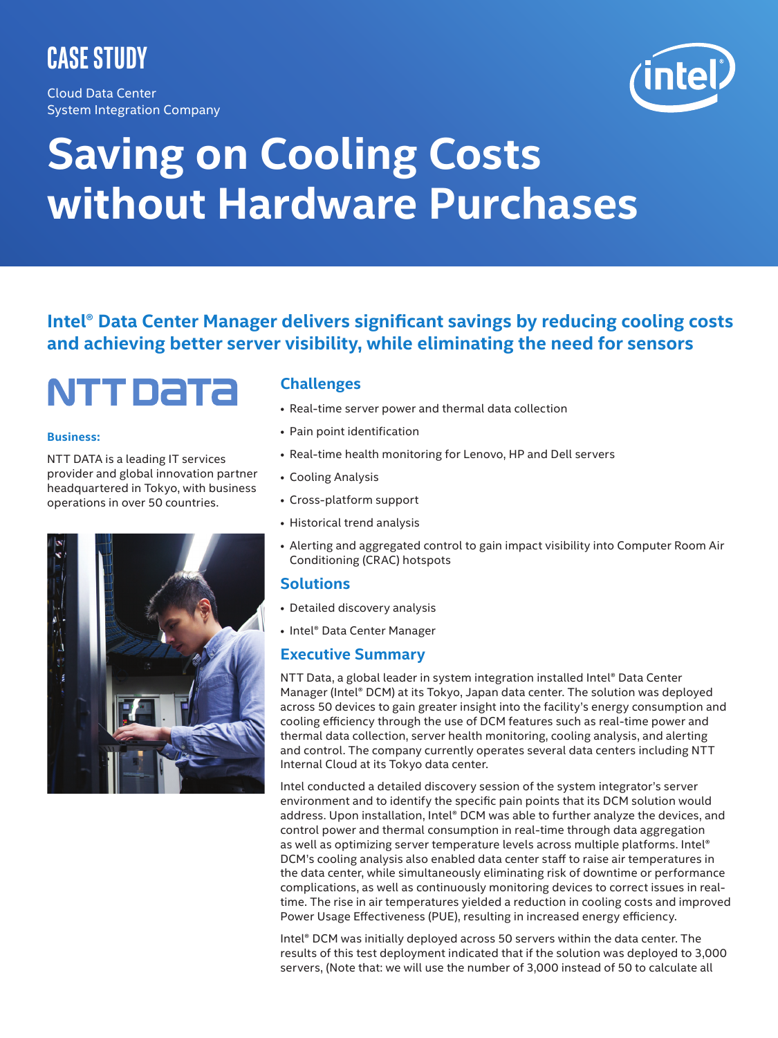## **Case Study**

Cloud Data Center System Integration Company

# **Saving on Cooling Costs without Hardware Purchases**

**Intel® Data Center Manager delivers significant savings by reducing cooling costs and achieving better server visibility, while eliminating the need for sensors**

# NTT DATA

#### **Business:**

NTT DATA is a leading IT services provider and global innovation partner headquartered in Tokyo, with business operations in over 50 countries.



#### **Challenges**

- Real-time server power and thermal data collection
- Pain point identification
- Real-time health monitoring for Lenovo, HP and Dell servers
- Cooling Analysis
- Cross-platform support
- Historical trend analysis
- Alerting and aggregated control to gain impact visibility into Computer Room Air Conditioning (CRAC) hotspots

#### **Solutions**

- Detailed discovery analysis
- Intel® Data Center Manager

#### **Executive Summary**

NTT Data, a global leader in system integration installed Intel® Data Center Manager (Intel® DCM) at its Tokyo, Japan data center. The solution was deployed across 50 devices to gain greater insight into the facility's energy consumption and cooling efficiency through the use of DCM features such as real-time power and thermal data collection, server health monitoring, cooling analysis, and alerting and control. The company currently operates several data centers including NTT Internal Cloud at its Tokyo data center.

Intel conducted a detailed discovery session of the system integrator's server environment and to identify the specific pain points that its DCM solution would address. Upon installation, Intel® DCM was able to further analyze the devices, and control power and thermal consumption in real-time through data aggregation as well as optimizing server temperature levels across multiple platforms. Intel® DCM's cooling analysis also enabled data center staff to raise air temperatures in the data center, while simultaneously eliminating risk of downtime or performance complications, as well as continuously monitoring devices to correct issues in realtime. The rise in air temperatures yielded a reduction in cooling costs and improved Power Usage Effectiveness (PUE), resulting in increased energy efficiency.

Intel® DCM was initially deployed across 50 servers within the data center. The results of this test deployment indicated that if the solution was deployed to 3,000 servers, (Note that: we will use the number of 3,000 instead of 50 to calculate all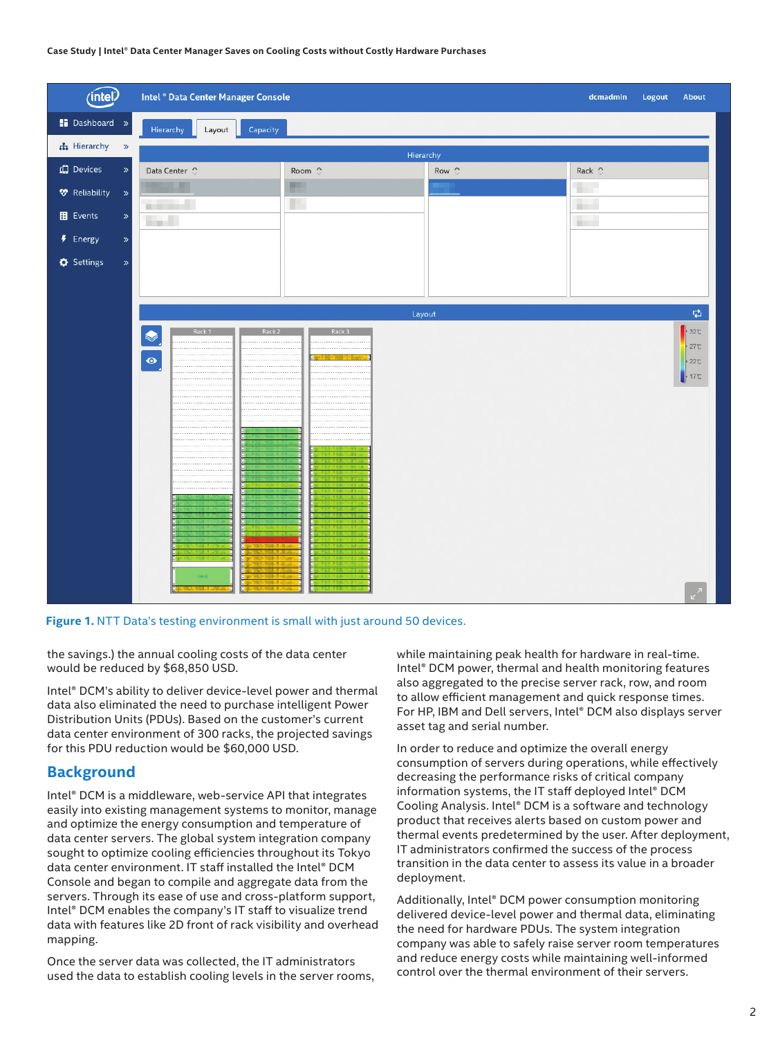#### **Case Study | Intel® Data Center Manager Saves on Cooling Costs without Costly Hardware Purchases**

| (intel)                         |       | Intel ® Data Center Manager Console |                          |               | dcmadmin<br>Logout<br>About                                    |
|---------------------------------|-------|-------------------------------------|--------------------------|---------------|----------------------------------------------------------------|
| Dashboard »                     |       | Capacity<br>Hierarchy<br>Layout     |                          |               |                                                                |
| th Hierarchy »                  |       | Hierarchy                           |                          |               |                                                                |
| In Devices                      | $\gg$ | Data Center 0                       | Room 0                   | Row $\hat{C}$ | Rack $\hat{\circ}$                                             |
| <b><sup>*</sup></b> Reliability | $\,$  | 風景                                  | <b>COMPANY</b>           |               | sin 1                                                          |
| $E$ Events                      | $\gg$ | <b>Contract</b>                     | US.                      |               | <b>A</b><br><b>Contract</b>                                    |
| $\overline{P}$ Energy           | $\gg$ |                                     |                          |               |                                                                |
| $\Phi$ Settings                 | $\gg$ |                                     |                          |               |                                                                |
|                                 |       |                                     |                          |               |                                                                |
|                                 |       |                                     | Layout                   |               | $\overrightarrow{\mathbf{C}}$                                  |
|                                 |       | Rack 2<br>.<br>.<br>$\bullet$       | Rack 3<br>.<br><br><br>. |               | $+32^\circ$<br>$-27$ °C<br>$-22$ c<br>$+17C$<br>$\mathbb{Z}^2$ |

Figure 1. NTT Data's testing environment is small with just around 50 devices.

the savings.) the annual cooling costs of the data center would be reduced by \$68,850 USD.

Intel® DCM's ability to deliver device-level power and thermal data also eliminated the need to purchase intelligent Power Distribution Units (PDUs). Based on the customer's current data center environment of 300 racks, the projected savings for this PDU reduction would be \$60,000 USD.

#### **Background**

Intel® DCM is a middleware, web-service API that integrates easily into existing management systems to monitor, manage and optimize the energy consumption and temperature of data center servers. The global system integration company sought to optimize cooling efficiencies throughout its Tokyo data center environment. IT staff installed the Intel® DCM Console and began to compile and aggregate data from the servers. Through its ease of use and cross-platform support, Intel® DCM enables the company's IT staff to visualize trend data with features like 2D front of rack visibility and overhead mapping.

Once the server data was collected, the IT administrators used the data to establish cooling levels in the server rooms, while maintaining peak health for hardware in real-time. Intel® DCM power, thermal and health monitoring features also aggregated to the precise server rack, row, and room to allow efficient management and quick response times. For HP, IBM and Dell servers, Intel® DCM also displays server asset tag and serial number.

In order to reduce and optimize the overall energy consumption of servers during operations, while effectively decreasing the performance risks of critical company information systems, the IT staff deployed Intel® DCM Cooling Analysis. Intel® DCM is a software and technology product that receives alerts based on custom power and thermal events predetermined by the user. After deployment, IT administrators confirmed the success of the process transition in the data center to assess its value in a broader deployment.

Additionally, Intel® DCM power consumption monitoring delivered device-level power and thermal data, eliminating the need for hardware PDUs. The system integration company was able to safely raise server room temperatures and reduce energy costs while maintaining well-informed control over the thermal environment of their servers.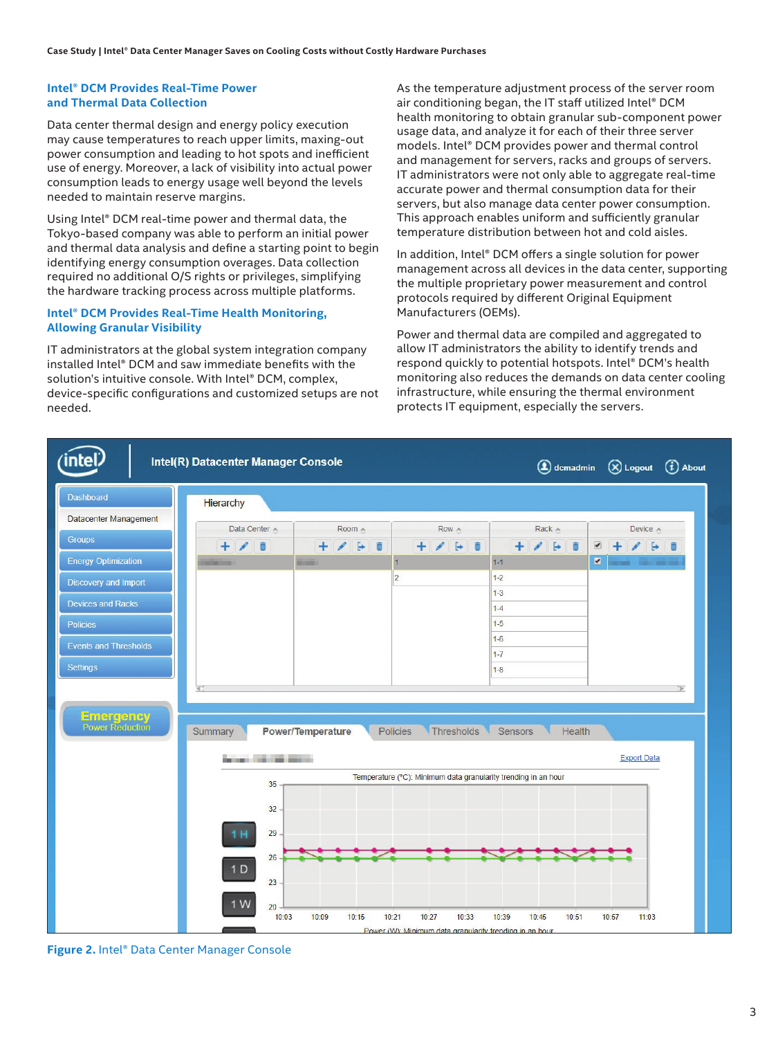#### **Intel® DCM Provides Real-Time Power and Thermal Data Collection**

Data center thermal design and energy policy execution may cause temperatures to reach upper limits, maxing-out power consumption and leading to hot spots and inefficient use of energy. Moreover, a lack of visibility into actual power consumption leads to energy usage well beyond the levels needed to maintain reserve margins.

Using Intel® DCM real-time power and thermal data, the Tokyo-based company was able to perform an initial power and thermal data analysis and define a starting point to begin identifying energy consumption overages. Data collection required no additional O/S rights or privileges, simplifying the hardware tracking process across multiple platforms.

#### **Intel® DCM Provides Real-Time Health Monitoring, Allowing Granular Visibility**

IT administrators at the global system integration company installed Intel® DCM and saw immediate benefits with the solution's intuitive console. With Intel® DCM, complex, device-specific configurations and customized setups are not needed.

As the temperature adjustment process of the server room air conditioning began, the IT staff utilized Intel® DCM health monitoring to obtain granular sub-component power usage data, and analyze it for each of their three server models. Intel® DCM provides power and thermal control and management for servers, racks and groups of servers. IT administrators were not only able to aggregate real-time accurate power and thermal consumption data for their servers, but also manage data center power consumption. This approach enables uniform and sufficiently granular temperature distribution between hot and cold aisles.

In addition, Intel® DCM offers a single solution for power management across all devices in the data center, supporting the multiple proprietary power measurement and control protocols required by different Original Equipment Manufacturers (OEMs).

Power and thermal data are compiled and aggregated to allow IT administrators the ability to identify trends and respond quickly to potential hotspots. Intel® DCM's health monitoring also reduces the demands on data center cooling infrastructure, while ensuring the thermal environment protects IT equipment, especially the servers.



**Figure 2.** Intel® Data Center Manager Console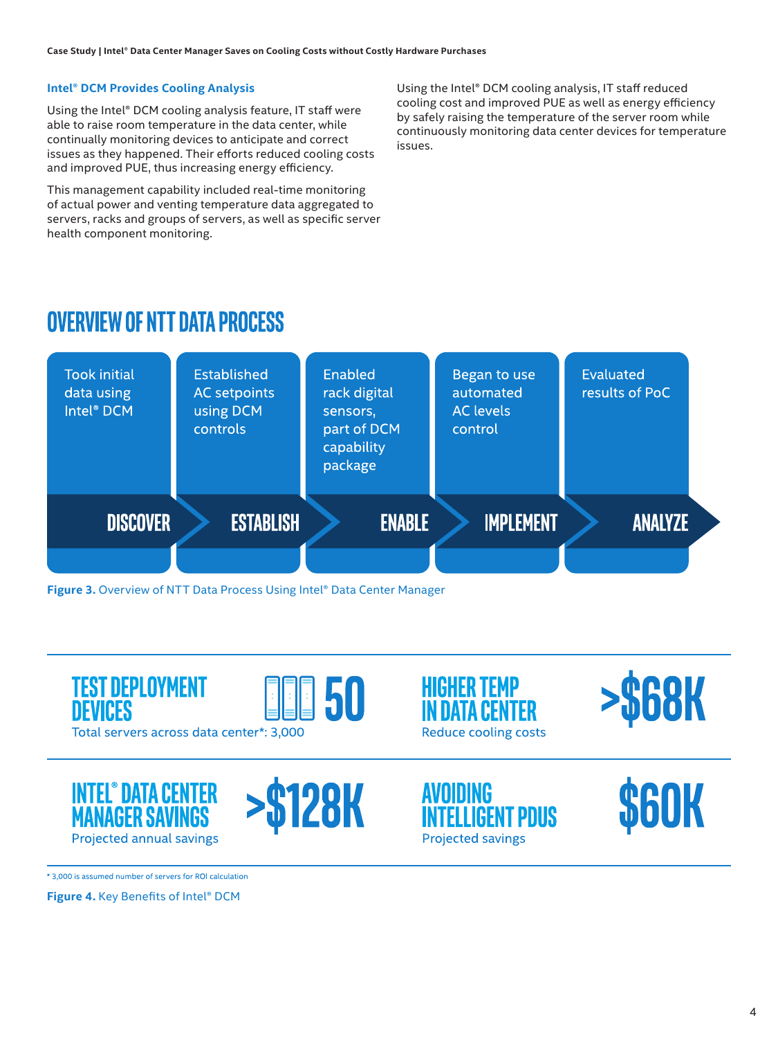#### **Intel® DCM Provides Cooling Analysis**

Using the Intel® DCM cooling analysis feature, IT staff were able to raise room temperature in the data center, while continually monitoring devices to anticipate and correct issues as they happened. Their efforts reduced cooling costs and improved PUE, thus increasing energy efficiency.

This management capability included real-time monitoring of actual power and venting temperature data aggregated to servers, racks and groups of servers, as well as specific server health component monitoring.

Using the Intel® DCM cooling analysis, IT staff reduced cooling cost and improved PUE as well as energy efficiency by safely raising the temperature of the server room while continuously monitoring data center devices for temperature issues.

### **OVERVIEW OF NTT DATA PROCESS**



**Figure 3.** Overview of NTT Data Process Using Intel® Data Center Manager



\* 3,000 is assumed number of servers for ROI calculation

**Figure 4.** Key Benefits of Intel® DCM